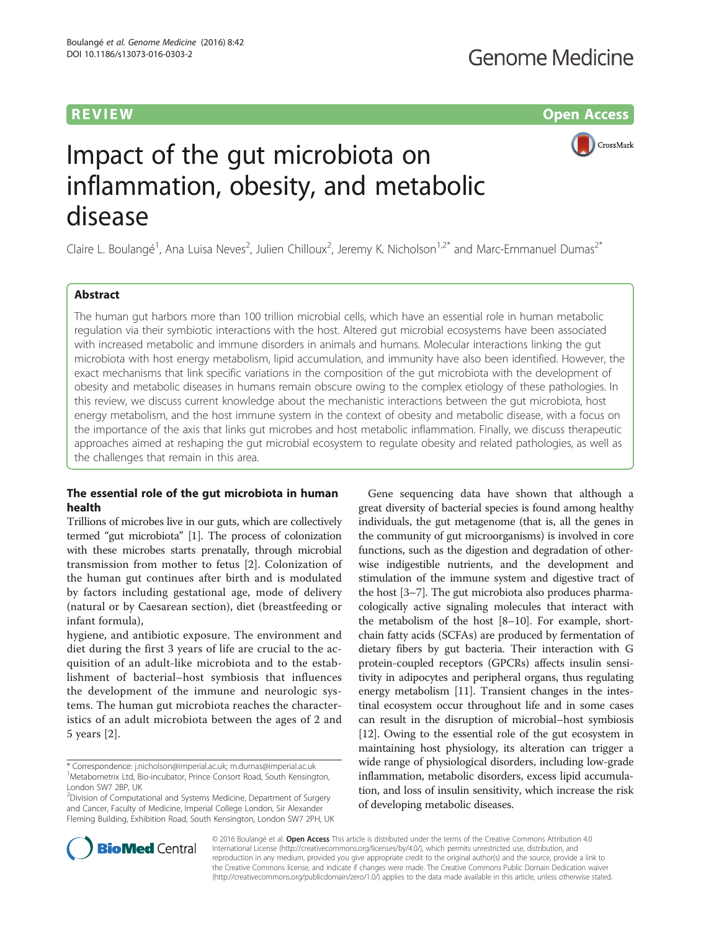**REVIEW REVIEW CONSTRUCTION** 



# Impact of the gut microbiota on inflammation, obesity, and metabolic disease

Claire L. Boulangé<sup>1</sup>, Ana Luisa Neves<sup>2</sup>, Julien Chilloux<sup>2</sup>, Jeremy K. Nicholson<sup>1,2\*</sup> and Marc-Emmanuel Dumas<sup>2\*</sup>

## Abstract

The human gut harbors more than 100 trillion microbial cells, which have an essential role in human metabolic regulation via their symbiotic interactions with the host. Altered gut microbial ecosystems have been associated with increased metabolic and immune disorders in animals and humans. Molecular interactions linking the gut microbiota with host energy metabolism, lipid accumulation, and immunity have also been identified. However, the exact mechanisms that link specific variations in the composition of the gut microbiota with the development of obesity and metabolic diseases in humans remain obscure owing to the complex etiology of these pathologies. In this review, we discuss current knowledge about the mechanistic interactions between the gut microbiota, host energy metabolism, and the host immune system in the context of obesity and metabolic disease, with a focus on the importance of the axis that links gut microbes and host metabolic inflammation. Finally, we discuss therapeutic approaches aimed at reshaping the gut microbial ecosystem to regulate obesity and related pathologies, as well as the challenges that remain in this area.

## The essential role of the gut microbiota in human health

Trillions of microbes live in our guts, which are collectively termed "gut microbiota" [[1\]](#page-9-0). The process of colonization with these microbes starts prenatally, through microbial transmission from mother to fetus [[2\]](#page-9-0). Colonization of the human gut continues after birth and is modulated by factors including gestational age, mode of delivery (natural or by Caesarean section), diet (breastfeeding or infant formula),

hygiene, and antibiotic exposure. The environment and diet during the first 3 years of life are crucial to the acquisition of an adult-like microbiota and to the establishment of bacterial–host symbiosis that influences the development of the immune and neurologic systems. The human gut microbiota reaches the characteristics of an adult microbiota between the ages of 2 and 5 years [[2\]](#page-9-0).

Gene sequencing data have shown that although a great diversity of bacterial species is found among healthy individuals, the gut metagenome (that is, all the genes in the community of gut microorganisms) is involved in core functions, such as the digestion and degradation of otherwise indigestible nutrients, and the development and stimulation of the immune system and digestive tract of the host [\[3](#page-9-0)–[7](#page-9-0)]. The gut microbiota also produces pharmacologically active signaling molecules that interact with the metabolism of the host [[8](#page-9-0)–[10](#page-9-0)]. For example, shortchain fatty acids (SCFAs) are produced by fermentation of dietary fibers by gut bacteria. Their interaction with G protein-coupled receptors (GPCRs) affects insulin sensitivity in adipocytes and peripheral organs, thus regulating energy metabolism [\[11\]](#page-9-0). Transient changes in the intestinal ecosystem occur throughout life and in some cases can result in the disruption of microbial–host symbiosis [[12](#page-9-0)]. Owing to the essential role of the gut ecosystem in maintaining host physiology, its alteration can trigger a wide range of physiological disorders, including low-grade inflammation, metabolic disorders, excess lipid accumulation, and loss of insulin sensitivity, which increase the risk of developing metabolic diseases.



© 2016 Boulangé et al. Open Access This article is distributed under the terms of the Creative Commons Attribution 4.0 International License [\(http://creativecommons.org/licenses/by/4.0/](http://creativecommons.org/licenses/by/4.0/)), which permits unrestricted use, distribution, and reproduction in any medium, provided you give appropriate credit to the original author(s) and the source, provide a link to the Creative Commons license, and indicate if changes were made. The Creative Commons Public Domain Dedication waiver [\(http://creativecommons.org/publicdomain/zero/1.0/](http://creativecommons.org/publicdomain/zero/1.0/)) applies to the data made available in this article, unless otherwise stated.

<sup>\*</sup> Correspondence: [j.nicholson@imperial.ac.uk](mailto:j.nicholson@imperial.ac.uk); [m.dumas@imperial.ac.uk](mailto:m.dumas@imperial.ac.uk) <sup>1</sup> <sup>1</sup>Metabometrix Ltd, Bio-incubator, Prince Consort Road, South Kensington, London SW7 2BP, UK

<sup>&</sup>lt;sup>2</sup> Division of Computational and Systems Medicine, Department of Surgery and Cancer, Faculty of Medicine, Imperial College London, Sir Alexander Fleming Building, Exhibition Road, South Kensington, London SW7 2PH, UK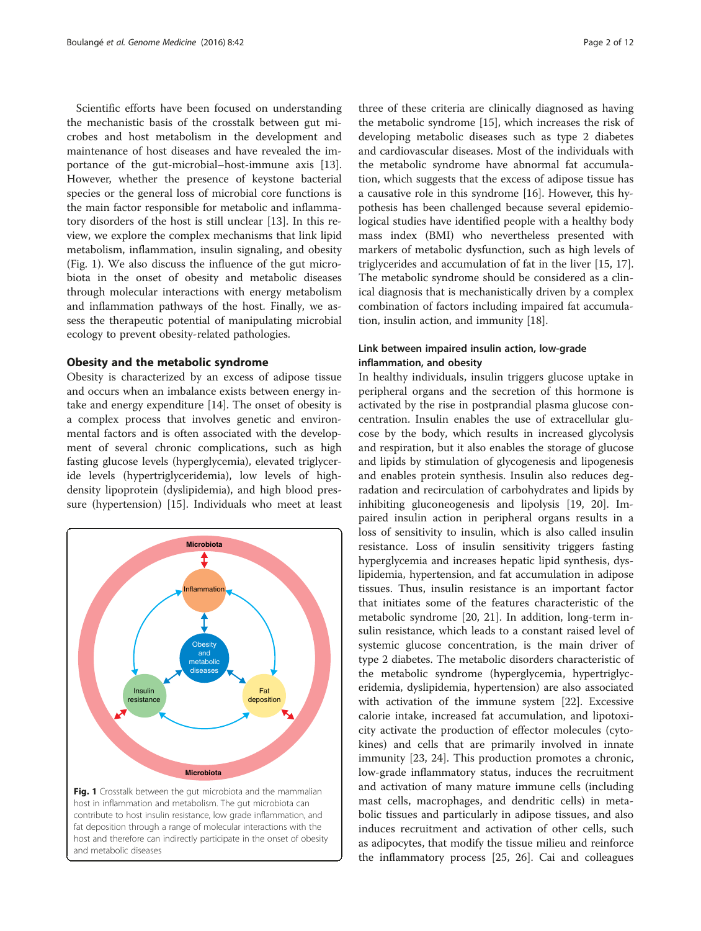Scientific efforts have been focused on understanding the mechanistic basis of the crosstalk between gut microbes and host metabolism in the development and maintenance of host diseases and have revealed the importance of the gut-microbial–host-immune axis [\[13](#page-9-0)]. However, whether the presence of keystone bacterial species or the general loss of microbial core functions is the main factor responsible for metabolic and inflammatory disorders of the host is still unclear [\[13\]](#page-9-0). In this review, we explore the complex mechanisms that link lipid metabolism, inflammation, insulin signaling, and obesity (Fig. 1). We also discuss the influence of the gut microbiota in the onset of obesity and metabolic diseases through molecular interactions with energy metabolism and inflammation pathways of the host. Finally, we assess the therapeutic potential of manipulating microbial ecology to prevent obesity-related pathologies.

### Obesity and the metabolic syndrome

Obesity is characterized by an excess of adipose tissue and occurs when an imbalance exists between energy intake and energy expenditure [\[14](#page-9-0)]. The onset of obesity is a complex process that involves genetic and environmental factors and is often associated with the development of several chronic complications, such as high fasting glucose levels (hyperglycemia), elevated triglyceride levels (hypertriglyceridemia), low levels of highdensity lipoprotein (dyslipidemia), and high blood pressure (hypertension) [\[15\]](#page-9-0). Individuals who meet at least



host in inflammation and metabolism. The gut microbiota can contribute to host insulin resistance, low grade inflammation, and fat deposition through a range of molecular interactions with the host and therefore can indirectly participate in the onset of obesity and metabolic diseases

three of these criteria are clinically diagnosed as having the metabolic syndrome [\[15](#page-9-0)], which increases the risk of developing metabolic diseases such as type 2 diabetes and cardiovascular diseases. Most of the individuals with the metabolic syndrome have abnormal fat accumulation, which suggests that the excess of adipose tissue has a causative role in this syndrome [\[16](#page-9-0)]. However, this hypothesis has been challenged because several epidemiological studies have identified people with a healthy body mass index (BMI) who nevertheless presented with markers of metabolic dysfunction, such as high levels of triglycerides and accumulation of fat in the liver [\[15](#page-9-0), [17](#page-9-0)]. The metabolic syndrome should be considered as a clinical diagnosis that is mechanistically driven by a complex combination of factors including impaired fat accumulation, insulin action, and immunity [[18](#page-9-0)].

## Link between impaired insulin action, low-grade inflammation, and obesity

In healthy individuals, insulin triggers glucose uptake in peripheral organs and the secretion of this hormone is activated by the rise in postprandial plasma glucose concentration. Insulin enables the use of extracellular glucose by the body, which results in increased glycolysis and respiration, but it also enables the storage of glucose and lipids by stimulation of glycogenesis and lipogenesis and enables protein synthesis. Insulin also reduces degradation and recirculation of carbohydrates and lipids by inhibiting gluconeogenesis and lipolysis [[19](#page-9-0), [20](#page-9-0)]. Impaired insulin action in peripheral organs results in a loss of sensitivity to insulin, which is also called insulin resistance. Loss of insulin sensitivity triggers fasting hyperglycemia and increases hepatic lipid synthesis, dyslipidemia, hypertension, and fat accumulation in adipose tissues. Thus, insulin resistance is an important factor that initiates some of the features characteristic of the metabolic syndrome [[20](#page-9-0), [21](#page-9-0)]. In addition, long-term insulin resistance, which leads to a constant raised level of systemic glucose concentration, is the main driver of type 2 diabetes. The metabolic disorders characteristic of the metabolic syndrome (hyperglycemia, hypertriglyceridemia, dyslipidemia, hypertension) are also associated with activation of the immune system [\[22\]](#page-10-0). Excessive calorie intake, increased fat accumulation, and lipotoxicity activate the production of effector molecules (cytokines) and cells that are primarily involved in innate immunity [\[23, 24](#page-10-0)]. This production promotes a chronic, low-grade inflammatory status, induces the recruitment and activation of many mature immune cells (including mast cells, macrophages, and dendritic cells) in metabolic tissues and particularly in adipose tissues, and also induces recruitment and activation of other cells, such as adipocytes, that modify the tissue milieu and reinforce the inflammatory process [\[25, 26\]](#page-10-0). Cai and colleagues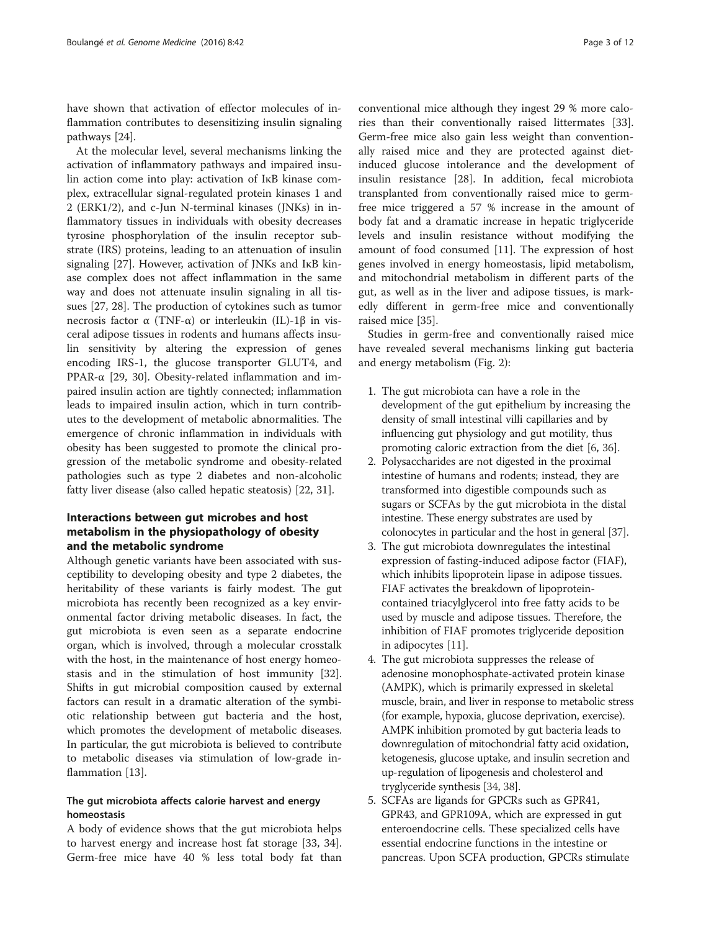have shown that activation of effector molecules of inflammation contributes to desensitizing insulin signaling pathways [\[24](#page-10-0)].

At the molecular level, several mechanisms linking the activation of inflammatory pathways and impaired insulin action come into play: activation of IκB kinase complex, extracellular signal-regulated protein kinases 1 and 2 (ERK1/2), and c-Jun N-terminal kinases (JNKs) in inflammatory tissues in individuals with obesity decreases tyrosine phosphorylation of the insulin receptor substrate (IRS) proteins, leading to an attenuation of insulin signaling [\[27](#page-10-0)]. However, activation of JNKs and IκB kinase complex does not affect inflammation in the same way and does not attenuate insulin signaling in all tissues [\[27, 28\]](#page-10-0). The production of cytokines such as tumor necrosis factor α (TNF-α) or interleukin (IL)-1β in visceral adipose tissues in rodents and humans affects insulin sensitivity by altering the expression of genes encoding IRS-1, the glucose transporter GLUT4, and PPAR-α [\[29](#page-10-0), [30](#page-10-0)]. Obesity-related inflammation and impaired insulin action are tightly connected; inflammation leads to impaired insulin action, which in turn contributes to the development of metabolic abnormalities. The emergence of chronic inflammation in individuals with obesity has been suggested to promote the clinical progression of the metabolic syndrome and obesity-related pathologies such as type 2 diabetes and non-alcoholic fatty liver disease (also called hepatic steatosis) [\[22, 31\]](#page-10-0).

## Interactions between gut microbes and host metabolism in the physiopathology of obesity and the metabolic syndrome

Although genetic variants have been associated with susceptibility to developing obesity and type 2 diabetes, the heritability of these variants is fairly modest. The gut microbiota has recently been recognized as a key environmental factor driving metabolic diseases. In fact, the gut microbiota is even seen as a separate endocrine organ, which is involved, through a molecular crosstalk with the host, in the maintenance of host energy homeostasis and in the stimulation of host immunity [\[32](#page-10-0)]. Shifts in gut microbial composition caused by external factors can result in a dramatic alteration of the symbiotic relationship between gut bacteria and the host, which promotes the development of metabolic diseases. In particular, the gut microbiota is believed to contribute to metabolic diseases via stimulation of low-grade inflammation [[13](#page-9-0)].

## The gut microbiota affects calorie harvest and energy homeostasis

A body of evidence shows that the gut microbiota helps to harvest energy and increase host fat storage [[33, 34](#page-10-0)]. Germ-free mice have 40 % less total body fat than conventional mice although they ingest 29 % more calories than their conventionally raised littermates [\[33](#page-10-0)]. Germ-free mice also gain less weight than conventionally raised mice and they are protected against dietinduced glucose intolerance and the development of insulin resistance [[28\]](#page-10-0). In addition, fecal microbiota transplanted from conventionally raised mice to germfree mice triggered a 57 % increase in the amount of body fat and a dramatic increase in hepatic triglyceride levels and insulin resistance without modifying the amount of food consumed [\[11\]](#page-9-0). The expression of host genes involved in energy homeostasis, lipid metabolism, and mitochondrial metabolism in different parts of the gut, as well as in the liver and adipose tissues, is markedly different in germ-free mice and conventionally raised mice [\[35](#page-10-0)].

Studies in germ-free and conventionally raised mice have revealed several mechanisms linking gut bacteria and energy metabolism (Fig. [2\)](#page-3-0):

- 1. The gut microbiota can have a role in the development of the gut epithelium by increasing the density of small intestinal villi capillaries and by influencing gut physiology and gut motility, thus promoting caloric extraction from the diet [\[6,](#page-9-0) [36\]](#page-10-0).
- 2. Polysaccharides are not digested in the proximal intestine of humans and rodents; instead, they are transformed into digestible compounds such as sugars or SCFAs by the gut microbiota in the distal intestine. These energy substrates are used by colonocytes in particular and the host in general [[37](#page-10-0)].
- 3. The gut microbiota downregulates the intestinal expression of fasting-induced adipose factor (FIAF), which inhibits lipoprotein lipase in adipose tissues. FIAF activates the breakdown of lipoproteincontained triacylglycerol into free fatty acids to be used by muscle and adipose tissues. Therefore, the inhibition of FIAF promotes triglyceride deposition in adipocytes [\[11\]](#page-9-0).
- 4. The gut microbiota suppresses the release of adenosine monophosphate-activated protein kinase (AMPK), which is primarily expressed in skeletal muscle, brain, and liver in response to metabolic stress (for example, hypoxia, glucose deprivation, exercise). AMPK inhibition promoted by gut bacteria leads to downregulation of mitochondrial fatty acid oxidation, ketogenesis, glucose uptake, and insulin secretion and up-regulation of lipogenesis and cholesterol and tryglyceride synthesis [[34](#page-10-0), [38](#page-10-0)].
- 5. SCFAs are ligands for GPCRs such as GPR41, GPR43, and GPR109A, which are expressed in gut enteroendocrine cells. These specialized cells have essential endocrine functions in the intestine or pancreas. Upon SCFA production, GPCRs stimulate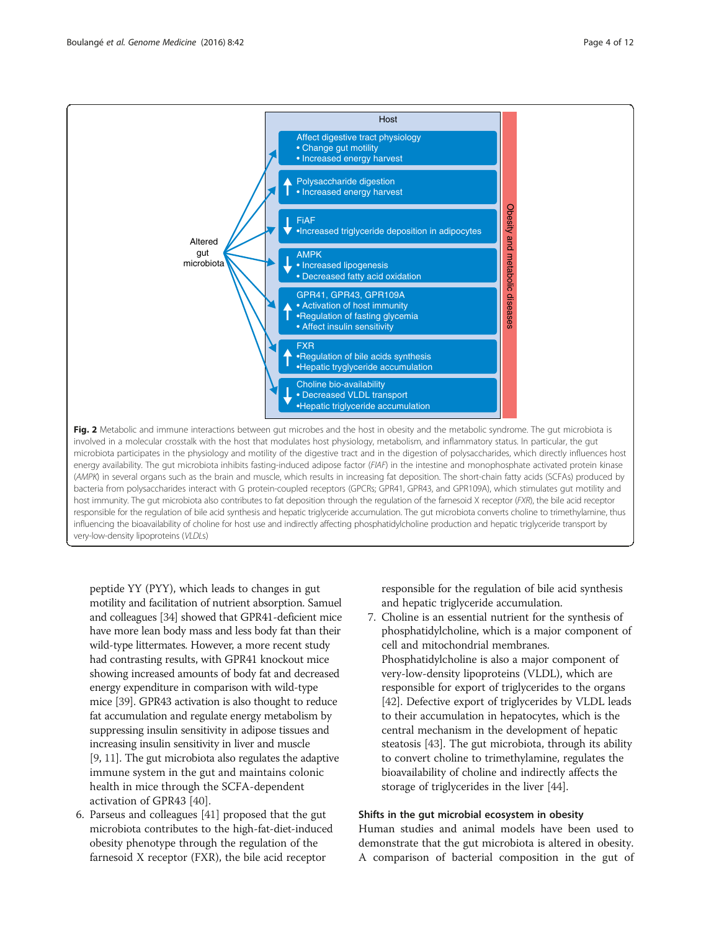<span id="page-3-0"></span>

bacteria from polysaccharides interact with G protein-coupled receptors (GPCRs; GPR41, GPR43, and GPR109A), which stimulates gut motility and host immunity. The gut microbiota also contributes to fat deposition through the regulation of the farnesoid X receptor (FXR), the bile acid receptor responsible for the regulation of bile acid synthesis and hepatic triglyceride accumulation. The gut microbiota converts choline to trimethylamine, thus influencing the bioavailability of choline for host use and indirectly affecting phosphatidylcholine production and hepatic triglyceride transport by very-low-density lipoproteins (VLDLs)

peptide YY (PYY), which leads to changes in gut motility and facilitation of nutrient absorption. Samuel and colleagues [[34](#page-10-0)] showed that GPR41-deficient mice have more lean body mass and less body fat than their wild-type littermates. However, a more recent study had contrasting results, with GPR41 knockout mice showing increased amounts of body fat and decreased energy expenditure in comparison with wild-type mice [\[39](#page-10-0)]. GPR43 activation is also thought to reduce fat accumulation and regulate energy metabolism by suppressing insulin sensitivity in adipose tissues and increasing insulin sensitivity in liver and muscle [\[9](#page-9-0), [11](#page-9-0)]. The gut microbiota also regulates the adaptive immune system in the gut and maintains colonic health in mice through the SCFA-dependent activation of GPR43 [[40\]](#page-10-0).

6. Parseus and colleagues [[41\]](#page-10-0) proposed that the gut microbiota contributes to the high-fat-diet-induced obesity phenotype through the regulation of the farnesoid X receptor (FXR), the bile acid receptor

responsible for the regulation of bile acid synthesis and hepatic triglyceride accumulation.

7. Choline is an essential nutrient for the synthesis of phosphatidylcholine, which is a major component of cell and mitochondrial membranes. Phosphatidylcholine is also a major component of very‐low‐density lipoproteins (VLDL), which are responsible for export of triglycerides to the organs [[42](#page-10-0)]. Defective export of triglycerides by VLDL leads to their accumulation in hepatocytes, which is the central mechanism in the development of hepatic steatosis [[43](#page-10-0)]. The gut microbiota, through its ability to convert choline to trimethylamine, regulates the bioavailability of choline and indirectly affects the storage of triglycerides in the liver [\[44\]](#page-10-0).

## Shifts in the gut microbial ecosystem in obesity

Human studies and animal models have been used to demonstrate that the gut microbiota is altered in obesity. A comparison of bacterial composition in the gut of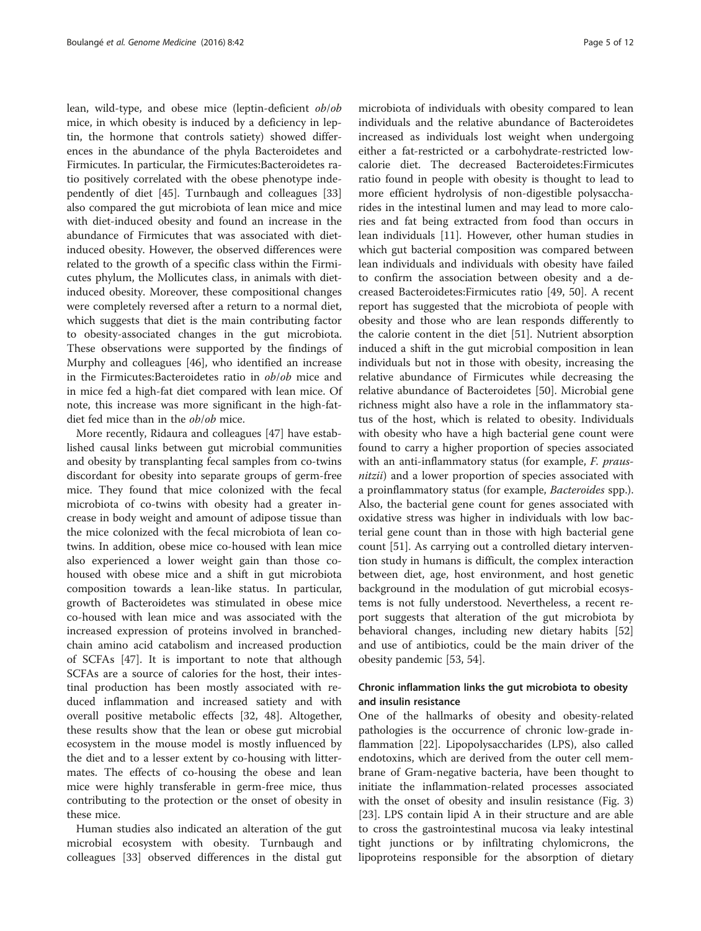lean, wild-type, and obese mice (leptin-deficient ob/ob mice, in which obesity is induced by a deficiency in leptin, the hormone that controls satiety) showed differences in the abundance of the phyla Bacteroidetes and Firmicutes. In particular, the Firmicutes:Bacteroidetes ratio positively correlated with the obese phenotype independently of diet [[45\]](#page-10-0). Turnbaugh and colleagues [[33](#page-10-0)] also compared the gut microbiota of lean mice and mice with diet-induced obesity and found an increase in the abundance of Firmicutes that was associated with dietinduced obesity. However, the observed differences were related to the growth of a specific class within the Firmicutes phylum, the Mollicutes class, in animals with dietinduced obesity. Moreover, these compositional changes were completely reversed after a return to a normal diet, which suggests that diet is the main contributing factor to obesity-associated changes in the gut microbiota. These observations were supported by the findings of Murphy and colleagues [\[46](#page-10-0)], who identified an increase in the Firmicutes:Bacteroidetes ratio in ob/ob mice and in mice fed a high-fat diet compared with lean mice. Of note, this increase was more significant in the high-fatdiet fed mice than in the ob/ob mice.

More recently, Ridaura and colleagues [\[47](#page-10-0)] have established causal links between gut microbial communities and obesity by transplanting fecal samples from co-twins discordant for obesity into separate groups of germ-free mice. They found that mice colonized with the fecal microbiota of co-twins with obesity had a greater increase in body weight and amount of adipose tissue than the mice colonized with the fecal microbiota of lean cotwins. In addition, obese mice co-housed with lean mice also experienced a lower weight gain than those cohoused with obese mice and a shift in gut microbiota composition towards a lean-like status. In particular, growth of Bacteroidetes was stimulated in obese mice co-housed with lean mice and was associated with the increased expression of proteins involved in branchedchain amino acid catabolism and increased production of SCFAs [[47\]](#page-10-0). It is important to note that although SCFAs are a source of calories for the host, their intestinal production has been mostly associated with reduced inflammation and increased satiety and with overall positive metabolic effects [\[32, 48\]](#page-10-0). Altogether, these results show that the lean or obese gut microbial ecosystem in the mouse model is mostly influenced by the diet and to a lesser extent by co-housing with littermates. The effects of co-housing the obese and lean mice were highly transferable in germ-free mice, thus contributing to the protection or the onset of obesity in these mice.

Human studies also indicated an alteration of the gut microbial ecosystem with obesity. Turnbaugh and colleagues [\[33\]](#page-10-0) observed differences in the distal gut

microbiota of individuals with obesity compared to lean individuals and the relative abundance of Bacteroidetes increased as individuals lost weight when undergoing either a fat-restricted or a carbohydrate-restricted lowcalorie diet. The decreased Bacteroidetes:Firmicutes ratio found in people with obesity is thought to lead to more efficient hydrolysis of non-digestible polysaccharides in the intestinal lumen and may lead to more calories and fat being extracted from food than occurs in lean individuals [\[11](#page-9-0)]. However, other human studies in which gut bacterial composition was compared between lean individuals and individuals with obesity have failed to confirm the association between obesity and a decreased Bacteroidetes:Firmicutes ratio [\[49, 50\]](#page-10-0). A recent report has suggested that the microbiota of people with obesity and those who are lean responds differently to the calorie content in the diet [\[51](#page-10-0)]. Nutrient absorption induced a shift in the gut microbial composition in lean individuals but not in those with obesity, increasing the relative abundance of Firmicutes while decreasing the relative abundance of Bacteroidetes [\[50\]](#page-10-0). Microbial gene richness might also have a role in the inflammatory status of the host, which is related to obesity. Individuals with obesity who have a high bacterial gene count were found to carry a higher proportion of species associated with an anti-inflammatory status (for example, F. prausnitzii) and a lower proportion of species associated with a proinflammatory status (for example, Bacteroides spp.). Also, the bacterial gene count for genes associated with oxidative stress was higher in individuals with low bacterial gene count than in those with high bacterial gene count [\[51\]](#page-10-0). As carrying out a controlled dietary intervention study in humans is difficult, the complex interaction between diet, age, host environment, and host genetic background in the modulation of gut microbial ecosystems is not fully understood. Nevertheless, a recent report suggests that alteration of the gut microbiota by behavioral changes, including new dietary habits [[52](#page-10-0)] and use of antibiotics, could be the main driver of the obesity pandemic [\[53, 54\]](#page-10-0).

## Chronic inflammation links the gut microbiota to obesity and insulin resistance

One of the hallmarks of obesity and obesity-related pathologies is the occurrence of chronic low-grade inflammation [\[22](#page-10-0)]. Lipopolysaccharides (LPS), also called endotoxins, which are derived from the outer cell membrane of Gram-negative bacteria, have been thought to initiate the inflammation-related processes associated with the onset of obesity and insulin resistance (Fig. [3](#page-6-0)) [[23\]](#page-10-0). LPS contain lipid A in their structure and are able to cross the gastrointestinal mucosa via leaky intestinal tight junctions or by infiltrating chylomicrons, the lipoproteins responsible for the absorption of dietary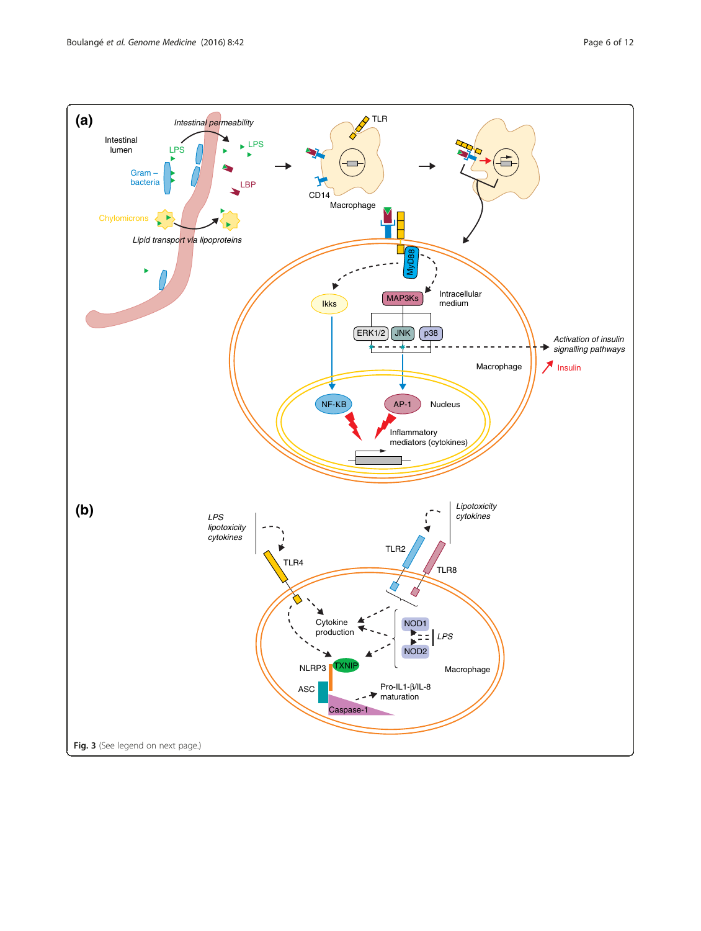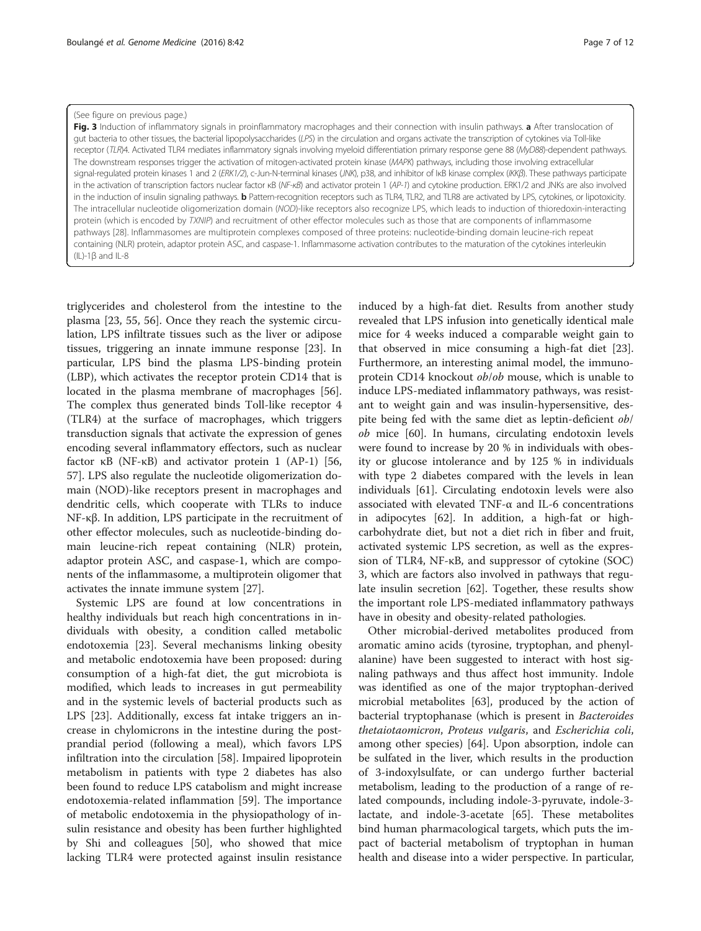#### <span id="page-6-0"></span>(See figure on previous page.)

Fig. 3 Induction of inflammatory signals in proinflammatory macrophages and their connection with insulin pathways. a After translocation of gut bacteria to other tissues, the bacterial lipopolysaccharides (LPS) in the circulation and organs activate the transcription of cytokines via Toll-like receptor (TLR)4. Activated TLR4 mediates inflammatory signals involving myeloid differentiation primary response gene 88 (MyD88)-dependent pathways. The downstream responses trigger the activation of mitogen-activated protein kinase (MAPK) pathways, including those involving extracellular signal-regulated protein kinases 1 and 2 (ERK1/2), c-Jun-N-terminal kinases (JNK), p38, and inhibitor of lκB kinase complex (ΙΚΚβ). These pathways participate in the activation of transcription factors nuclear factor κB (NF-κB) and activator protein 1 (AP-1) and cytokine production. ERK1/2 and JNKs are also involved in the induction of insulin signaling pathways. **b** Pattern-recognition receptors such as TLR4, TLR2, and TLR8 are activated by LPS, cytokines, or lipotoxicity. The intracellular nucleotide oligomerization domain (NOD)-like receptors also recognize LPS, which leads to induction of thioredoxin-interacting protein (which is encoded by TXNIP) and recruitment of other effector molecules such as those that are components of inflammasome pathways [[28\]](#page-10-0). Inflammasomes are multiprotein complexes composed of three proteins: nucleotide-binding domain leucine-rich repeat containing (NLR) protein, adaptor protein ASC, and caspase-1. Inflammasome activation contributes to the maturation of the cytokines interleukin (IL)-1β and IL-8

triglycerides and cholesterol from the intestine to the plasma [[23, 55, 56](#page-10-0)]. Once they reach the systemic circulation, LPS infiltrate tissues such as the liver or adipose tissues, triggering an innate immune response [[23\]](#page-10-0). In particular, LPS bind the plasma LPS-binding protein (LBP), which activates the receptor protein CD14 that is located in the plasma membrane of macrophages [\[56](#page-10-0)]. The complex thus generated binds Toll-like receptor 4 (TLR4) at the surface of macrophages, which triggers transduction signals that activate the expression of genes encoding several inflammatory effectors, such as nuclear factor κB (NF-κB) and activator protein 1 (AP-1) [[56](#page-10-0), [57\]](#page-10-0). LPS also regulate the nucleotide oligomerization domain (NOD)-like receptors present in macrophages and dendritic cells, which cooperate with TLRs to induce NF-κβ. In addition, LPS participate in the recruitment of other effector molecules, such as nucleotide-binding domain leucine-rich repeat containing (NLR) protein, adaptor protein ASC, and caspase-1, which are components of the inflammasome, a multiprotein oligomer that activates the innate immune system [\[27](#page-10-0)].

Systemic LPS are found at low concentrations in healthy individuals but reach high concentrations in individuals with obesity, a condition called metabolic endotoxemia [[23\]](#page-10-0). Several mechanisms linking obesity and metabolic endotoxemia have been proposed: during consumption of a high-fat diet, the gut microbiota is modified, which leads to increases in gut permeability and in the systemic levels of bacterial products such as LPS [\[23](#page-10-0)]. Additionally, excess fat intake triggers an increase in chylomicrons in the intestine during the postprandial period (following a meal), which favors LPS infiltration into the circulation [[58\]](#page-10-0). Impaired lipoprotein metabolism in patients with type 2 diabetes has also been found to reduce LPS catabolism and might increase endotoxemia-related inflammation [[59\]](#page-10-0). The importance of metabolic endotoxemia in the physiopathology of insulin resistance and obesity has been further highlighted by Shi and colleagues [\[50](#page-10-0)], who showed that mice lacking TLR4 were protected against insulin resistance

induced by a high-fat diet. Results from another study revealed that LPS infusion into genetically identical male mice for 4 weeks induced a comparable weight gain to that observed in mice consuming a high-fat diet [\[23](#page-10-0)]. Furthermore, an interesting animal model, the immunoprotein CD14 knockout *ob/ob* mouse, which is unable to induce LPS-mediated inflammatory pathways, was resistant to weight gain and was insulin-hypersensitive, despite being fed with the same diet as leptin-deficient ob/ ob mice [\[60](#page-10-0)]. In humans, circulating endotoxin levels were found to increase by 20 % in individuals with obesity or glucose intolerance and by 125 % in individuals with type 2 diabetes compared with the levels in lean individuals [[61](#page-10-0)]. Circulating endotoxin levels were also associated with elevated TNF-α and IL-6 concentrations in adipocytes [[62\]](#page-10-0). In addition, a high-fat or highcarbohydrate diet, but not a diet rich in fiber and fruit, activated systemic LPS secretion, as well as the expression of TLR4, NF-κB, and suppressor of cytokine (SOC) 3, which are factors also involved in pathways that regulate insulin secretion [\[62](#page-10-0)]. Together, these results show the important role LPS-mediated inflammatory pathways have in obesity and obesity-related pathologies.

Other microbial-derived metabolites produced from aromatic amino acids (tyrosine, tryptophan, and phenylalanine) have been suggested to interact with host signaling pathways and thus affect host immunity. Indole was identified as one of the major tryptophan-derived microbial metabolites [[63](#page-10-0)], produced by the action of bacterial tryptophanase (which is present in Bacteroides thetaiotaomicron, Proteus vulgaris, and Escherichia coli, among other species) [\[64](#page-10-0)]. Upon absorption, indole can be sulfated in the liver, which results in the production of 3-indoxylsulfate, or can undergo further bacterial metabolism, leading to the production of a range of related compounds, including indole-3-pyruvate, indole-3 lactate, and indole-3-acetate [\[65](#page-10-0)]. These metabolites bind human pharmacological targets, which puts the impact of bacterial metabolism of tryptophan in human health and disease into a wider perspective. In particular,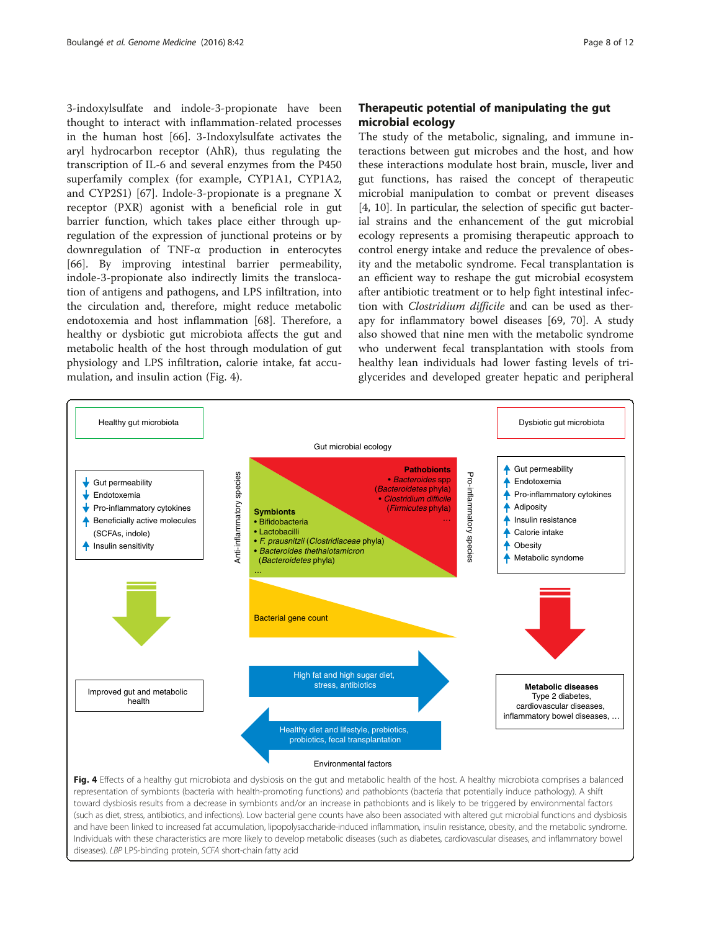3-indoxylsulfate and indole-3-propionate have been thought to interact with inflammation-related processes in the human host [[66\]](#page-10-0). 3-Indoxylsulfate activates the aryl hydrocarbon receptor (AhR), thus regulating the transcription of IL-6 and several enzymes from the P450 superfamily complex (for example, CYP1A1, CYP1A2, and CYP2S1) [[67\]](#page-11-0). Indole-3-propionate is a pregnane X receptor (PXR) agonist with a beneficial role in gut barrier function, which takes place either through upregulation of the expression of junctional proteins or by downregulation of TNF-α production in enterocytes [[66\]](#page-10-0). By improving intestinal barrier permeability, indole-3-propionate also indirectly limits the translocation of antigens and pathogens, and LPS infiltration, into the circulation and, therefore, might reduce metabolic endotoxemia and host inflammation [[68\]](#page-11-0). Therefore, a healthy or dysbiotic gut microbiota affects the gut and metabolic health of the host through modulation of gut physiology and LPS infiltration, calorie intake, fat accumulation, and insulin action (Fig. 4).

## Therapeutic potential of manipulating the gut microbial ecology

The study of the metabolic, signaling, and immune interactions between gut microbes and the host, and how these interactions modulate host brain, muscle, liver and gut functions, has raised the concept of therapeutic microbial manipulation to combat or prevent diseases [[4, 10](#page-9-0)]. In particular, the selection of specific gut bacterial strains and the enhancement of the gut microbial ecology represents a promising therapeutic approach to control energy intake and reduce the prevalence of obesity and the metabolic syndrome. Fecal transplantation is an efficient way to reshape the gut microbial ecosystem after antibiotic treatment or to help fight intestinal infection with Clostridium difficile and can be used as therapy for inflammatory bowel diseases [\[69](#page-11-0), [70\]](#page-11-0). A study also showed that nine men with the metabolic syndrome who underwent fecal transplantation with stools from healthy lean individuals had lower fasting levels of triglycerides and developed greater hepatic and peripheral



representation of symbionts (bacteria with health-promoting functions) and pathobionts (bacteria that potentially induce pathology). A shift toward dysbiosis results from a decrease in symbionts and/or an increase in pathobionts and is likely to be triggered by environmental factors (such as diet, stress, antibiotics, and infections). Low bacterial gene counts have also been associated with altered gut microbial functions and dysbiosis and have been linked to increased fat accumulation, lipopolysaccharide-induced inflammation, insulin resistance, obesity, and the metabolic syndrome. Individuals with these characteristics are more likely to develop metabolic diseases (such as diabetes, cardiovascular diseases, and inflammatory bowel diseases). LBP LPS-binding protein, SCFA short-chain fatty acid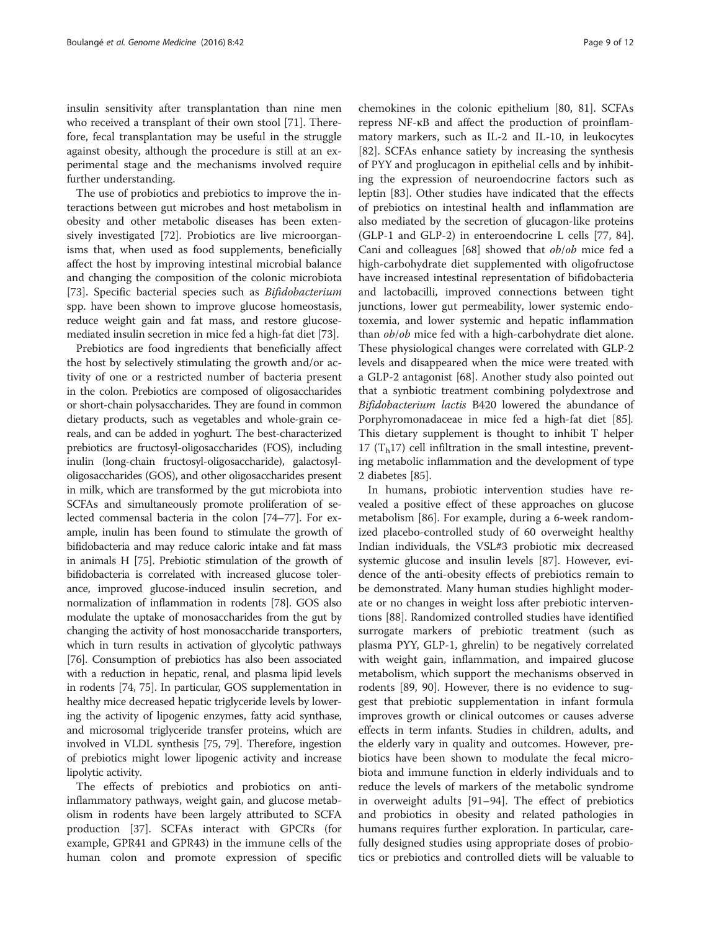insulin sensitivity after transplantation than nine men who received a transplant of their own stool [[71](#page-11-0)]. Therefore, fecal transplantation may be useful in the struggle against obesity, although the procedure is still at an experimental stage and the mechanisms involved require further understanding.

The use of probiotics and prebiotics to improve the interactions between gut microbes and host metabolism in obesity and other metabolic diseases has been extensively investigated [\[72](#page-11-0)]. Probiotics are live microorganisms that, when used as food supplements, beneficially affect the host by improving intestinal microbial balance and changing the composition of the colonic microbiota [[73\]](#page-11-0). Specific bacterial species such as *Bifidobacterium* spp. have been shown to improve glucose homeostasis, reduce weight gain and fat mass, and restore glucosemediated insulin secretion in mice fed a high-fat diet [\[73\]](#page-11-0).

Prebiotics are food ingredients that beneficially affect the host by selectively stimulating the growth and/or activity of one or a restricted number of bacteria present in the colon. Prebiotics are composed of oligosaccharides or short-chain polysaccharides. They are found in common dietary products, such as vegetables and whole-grain cereals, and can be added in yoghurt. The best-characterized prebiotics are fructosyl-oligosaccharides (FOS), including inulin (long-chain fructosyl-oligosaccharide), galactosyloligosaccharides (GOS), and other oligosaccharides present in milk, which are transformed by the gut microbiota into SCFAs and simultaneously promote proliferation of selected commensal bacteria in the colon [\[74](#page-11-0)–[77](#page-11-0)]. For example, inulin has been found to stimulate the growth of bifidobacteria and may reduce caloric intake and fat mass in animals H [[75](#page-11-0)]. Prebiotic stimulation of the growth of bifidobacteria is correlated with increased glucose tolerance, improved glucose-induced insulin secretion, and normalization of inflammation in rodents [\[78\]](#page-11-0). GOS also modulate the uptake of monosaccharides from the gut by changing the activity of host monosaccharide transporters, which in turn results in activation of glycolytic pathways [[76](#page-11-0)]. Consumption of prebiotics has also been associated with a reduction in hepatic, renal, and plasma lipid levels in rodents [[74](#page-11-0), [75](#page-11-0)]. In particular, GOS supplementation in healthy mice decreased hepatic triglyceride levels by lowering the activity of lipogenic enzymes, fatty acid synthase, and microsomal triglyceride transfer proteins, which are involved in VLDL synthesis [[75](#page-11-0), [79\]](#page-11-0). Therefore, ingestion of prebiotics might lower lipogenic activity and increase lipolytic activity.

The effects of prebiotics and probiotics on antiinflammatory pathways, weight gain, and glucose metabolism in rodents have been largely attributed to SCFA production [\[37](#page-10-0)]. SCFAs interact with GPCRs (for example, GPR41 and GPR43) in the immune cells of the human colon and promote expression of specific

chemokines in the colonic epithelium [[80](#page-11-0), [81](#page-11-0)]. SCFAs repress NF-κB and affect the production of proinflammatory markers, such as IL-2 and IL-10, in leukocytes [[82\]](#page-11-0). SCFAs enhance satiety by increasing the synthesis of PYY and proglucagon in epithelial cells and by inhibiting the expression of neuroendocrine factors such as leptin [[83\]](#page-11-0). Other studies have indicated that the effects of prebiotics on intestinal health and inflammation are also mediated by the secretion of glucagon-like proteins (GLP-1 and GLP-2) in enteroendocrine L cells [[77](#page-11-0), [84](#page-11-0)]. Cani and colleagues [[68](#page-11-0)] showed that ob/ob mice fed a high-carbohydrate diet supplemented with oligofructose have increased intestinal representation of bifidobacteria and lactobacilli, improved connections between tight junctions, lower gut permeability, lower systemic endotoxemia, and lower systemic and hepatic inflammation than ob/ob mice fed with a high-carbohydrate diet alone. These physiological changes were correlated with GLP-2 levels and disappeared when the mice were treated with a GLP-2 antagonist [[68\]](#page-11-0). Another study also pointed out that a synbiotic treatment combining polydextrose and Bifidobacterium lactis B420 lowered the abundance of Porphyromonadaceae in mice fed a high-fat diet [\[85](#page-11-0)]. This dietary supplement is thought to inhibit T helper  $17$  (T<sub>h</sub>17) cell infiltration in the small intestine, preventing metabolic inflammation and the development of type 2 diabetes [[85\]](#page-11-0).

In humans, probiotic intervention studies have revealed a positive effect of these approaches on glucose metabolism [[86](#page-11-0)]. For example, during a 6-week randomized placebo-controlled study of 60 overweight healthy Indian individuals, the VSL#3 probiotic mix decreased systemic glucose and insulin levels [[87\]](#page-11-0). However, evidence of the anti-obesity effects of prebiotics remain to be demonstrated. Many human studies highlight moderate or no changes in weight loss after prebiotic interventions [[88\]](#page-11-0). Randomized controlled studies have identified surrogate markers of prebiotic treatment (such as plasma PYY, GLP-1, ghrelin) to be negatively correlated with weight gain, inflammation, and impaired glucose metabolism, which support the mechanisms observed in rodents [[89, 90\]](#page-11-0). However, there is no evidence to suggest that prebiotic supplementation in infant formula improves growth or clinical outcomes or causes adverse effects in term infants. Studies in children, adults, and the elderly vary in quality and outcomes. However, prebiotics have been shown to modulate the fecal microbiota and immune function in elderly individuals and to reduce the levels of markers of the metabolic syndrome in overweight adults [[91](#page-11-0)–[94](#page-11-0)]. The effect of prebiotics and probiotics in obesity and related pathologies in humans requires further exploration. In particular, carefully designed studies using appropriate doses of probiotics or prebiotics and controlled diets will be valuable to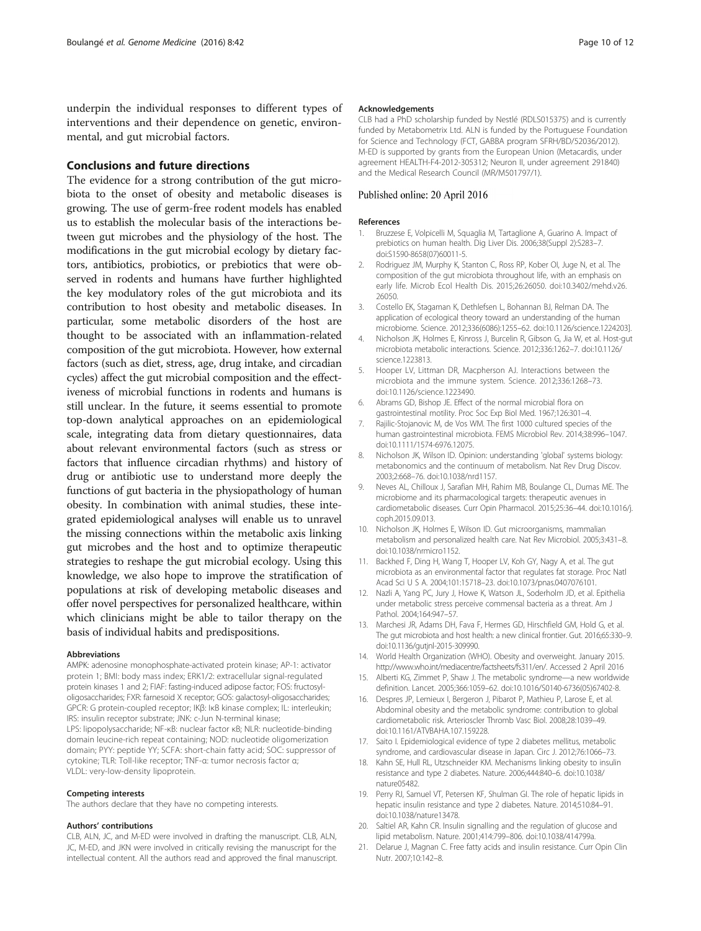<span id="page-9-0"></span>underpin the individual responses to different types of interventions and their dependence on genetic, environmental, and gut microbial factors.

## Conclusions and future directions

The evidence for a strong contribution of the gut microbiota to the onset of obesity and metabolic diseases is growing. The use of germ-free rodent models has enabled us to establish the molecular basis of the interactions between gut microbes and the physiology of the host. The modifications in the gut microbial ecology by dietary factors, antibiotics, probiotics, or prebiotics that were observed in rodents and humans have further highlighted the key modulatory roles of the gut microbiota and its contribution to host obesity and metabolic diseases. In particular, some metabolic disorders of the host are thought to be associated with an inflammation-related composition of the gut microbiota. However, how external factors (such as diet, stress, age, drug intake, and circadian cycles) affect the gut microbial composition and the effectiveness of microbial functions in rodents and humans is still unclear. In the future, it seems essential to promote top-down analytical approaches on an epidemiological scale, integrating data from dietary questionnaires, data about relevant environmental factors (such as stress or factors that influence circadian rhythms) and history of drug or antibiotic use to understand more deeply the functions of gut bacteria in the physiopathology of human obesity. In combination with animal studies, these integrated epidemiological analyses will enable us to unravel the missing connections within the metabolic axis linking gut microbes and the host and to optimize therapeutic strategies to reshape the gut microbial ecology. Using this knowledge, we also hope to improve the stratification of populations at risk of developing metabolic diseases and offer novel perspectives for personalized healthcare, within which clinicians might be able to tailor therapy on the basis of individual habits and predispositions.

#### Abbreviations

AMPK: adenosine monophosphate-activated protein kinase; AP-1: activator protein 1; BMI: body mass index; ERK1/2: extracellular signal-regulated protein kinases 1 and 2; FIAF: fasting-induced adipose factor; FOS: fructosyloligosaccharides; FXR: farnesoid X receptor; GOS: galactosyl-oligosaccharides; GPCR: G protein-coupled receptor; IKβ: IκB kinase complex; IL: interleukin; IRS: insulin receptor substrate; JNK: c-Jun N-terminal kinase; LPS: lipopolysaccharide; NF-κB: nuclear factor κB; NLR: nucleotide-binding domain leucine-rich repeat containing; NOD: nucleotide oligomerization domain; PYY: peptide YY; SCFA: short-chain fatty acid; SOC: suppressor of cytokine; TLR: Toll-like receptor; TNF-α: tumor necrosis factor α; VLDL: very-low-density lipoprotein.

#### Competing interests

The authors declare that they have no competing interests.

### Authors' contributions

CLB, ALN, JC, and M-ED were involved in drafting the manuscript. CLB, ALN, JC, M-ED, and JKN were involved in critically revising the manuscript for the intellectual content. All the authors read and approved the final manuscript.

#### Acknowledgements

CLB had a PhD scholarship funded by Nestlé (RDLS015375) and is currently funded by Metabometrix Ltd. ALN is funded by the Portuguese Foundation for Science and Technology (FCT, GABBA program SFRH/BD/52036/2012). M-ED is supported by grants from the European Union (Metacardis, under agreement HEALTH-F4-2012-305312; Neuron II, under agreement 291840) and the Medical Research Council (MR/M501797/1).

#### Published online: 20 April 2016

#### References

- 1. Bruzzese E, Volpicelli M, Squaglia M, Tartaglione A, Guarino A. Impact of prebiotics on human health. Dig Liver Dis. 2006;38(Suppl 2):S283–7. doi[:S1590-8658\(07\)60011-5.](http://dx.doi,org/S1590-8658(07)60011-5)
- Rodriguez JM, Murphy K, Stanton C, Ross RP, Kober OI, Juge N, et al. The composition of the gut microbiota throughout life, with an emphasis on early life. Microb Ecol Health Dis. 2015;26:26050. doi:[10.3402/mehd.v26.](http://dx.doi.org/10.3402/mehd.v26.26050) [26050](http://dx.doi.org/10.3402/mehd.v26.26050).
- 3. Costello EK, Stagaman K, Dethlefsen L, Bohannan BJ, Relman DA. The application of ecological theory toward an understanding of the human microbiome. Science. 2012;336(6086):1255–62. doi:[10.1126/science.1224203\].](http://dx.doi.org/10.1126/science.1224203%5D)
- 4. Nicholson JK, Holmes E, Kinross J, Burcelin R, Gibson G, Jia W, et al. Host-gut microbiota metabolic interactions. Science. 2012;336:1262–7. doi:[10.1126/](http://dx.doi.org/10.1126/science.1223813) [science.1223813.](http://dx.doi.org/10.1126/science.1223813)
- 5. Hooper LV, Littman DR, Macpherson AJ. Interactions between the microbiota and the immune system. Science. 2012;336:1268–73. doi[:10.1126/science.1223490.](http://dx.doi.org/10.1126/science.1223490)
- 6. Abrams GD, Bishop JE. Effect of the normal microbial flora on gastrointestinal motility. Proc Soc Exp Biol Med. 1967;126:301–4.
- 7. Rajilic-Stojanovic M, de Vos WM. The first 1000 cultured species of the human gastrointestinal microbiota. FEMS Microbiol Rev. 2014;38:996–1047. doi[:10.1111/1574-6976.12075.](http://dx.doi.org/10.1111/1574-6976.12075)
- 8. Nicholson JK, Wilson ID. Opinion: understanding 'global' systems biology: metabonomics and the continuum of metabolism. Nat Rev Drug Discov. 2003;2:668–76. doi[:10.1038/nrd1157.](http://dx.doi.org/10.1038/nrd1157)
- 9. Neves AL, Chilloux J, Sarafian MH, Rahim MB, Boulange CL, Dumas ME. The microbiome and its pharmacological targets: therapeutic avenues in cardiometabolic diseases. Curr Opin Pharmacol. 2015;25:36–44. doi[:10.1016/j.](http://dx.doi.org/10.1016/j.coph.2015.09.013) [coph.2015.09.013.](http://dx.doi.org/10.1016/j.coph.2015.09.013)
- 10. Nicholson JK, Holmes E, Wilson ID. Gut microorganisms, mammalian metabolism and personalized health care. Nat Rev Microbiol. 2005;3:431–8. doi[:10.1038/nrmicro1152.](http://dx.doi.org/10.1038/nrmicro1152)
- 11. Backhed F, Ding H, Wang T, Hooper LV, Koh GY, Nagy A, et al. The gut microbiota as an environmental factor that regulates fat storage. Proc Natl Acad Sci U S A. 2004;101:15718–23. doi[:10.1073/pnas.0407076101.](http://dx.doi.org/10.1073/pnas.0407076101)
- 12. Nazli A, Yang PC, Jury J, Howe K, Watson JL, Soderholm JD, et al. Epithelia under metabolic stress perceive commensal bacteria as a threat. Am J Pathol. 2004;164:947–57.
- 13. Marchesi JR, Adams DH, Fava F, Hermes GD, Hirschfield GM, Hold G, et al. The gut microbiota and host health: a new clinical frontier. Gut. 2016;65:330–9. doi:[10.1136/gutjnl-2015-309990](http://dx.doi.org/10.1136/gutjnl-2015-309990).
- 14. World Health Organization (WHO). Obesity and overweight. January 2015. [http://www.who.int/mediacentre/factsheets/fs311/en/.](http://www.who.int/mediacentre/factsheets/fs311/en/) Accessed 2 April 2016
- 15. Alberti KG, Zimmet P, Shaw J. The metabolic syndrome—a new worldwide definition. Lancet. 2005;366:1059–62. doi[:10.1016/S0140-6736\(05\)67402-8](http://dx.doi.org/10.1016/S0140-6736(05)67402-8).
- 16. Despres JP, Lemieux I, Bergeron J, Pibarot P, Mathieu P, Larose E, et al. Abdominal obesity and the metabolic syndrome: contribution to global cardiometabolic risk. Arterioscler Thromb Vasc Biol. 2008;28:1039–49. doi[:10.1161/ATVBAHA.107.159228.](http://dx.doi.org/10.1161/ATVBAHA.107.159228)
- 17. Saito I. Epidemiological evidence of type 2 diabetes mellitus, metabolic syndrome, and cardiovascular disease in Japan. Circ J. 2012;76:1066–73.
- 18. Kahn SE, Hull RL, Utzschneider KM. Mechanisms linking obesity to insulin resistance and type 2 diabetes. Nature. 2006;444:840–6. doi:[10.1038/](http://dx.doi.org/10.1038/nature05482) [nature05482](http://dx.doi.org/10.1038/nature05482).
- 19. Perry RJ, Samuel VT, Petersen KF, Shulman GI. The role of hepatic lipids in hepatic insulin resistance and type 2 diabetes. Nature. 2014;510:84–91. doi[:10.1038/nature13478.](http://dx.doi.org/10.1038/nature13478)
- 20. Saltiel AR, Kahn CR. Insulin signalling and the regulation of glucose and lipid metabolism. Nature. 2001;414:799–806. doi[:10.1038/414799a.](http://dx.doi.org/10.1038/414799a)
- 21. Delarue J, Magnan C. Free fatty acids and insulin resistance. Curr Opin Clin Nutr. 2007;10:142–8.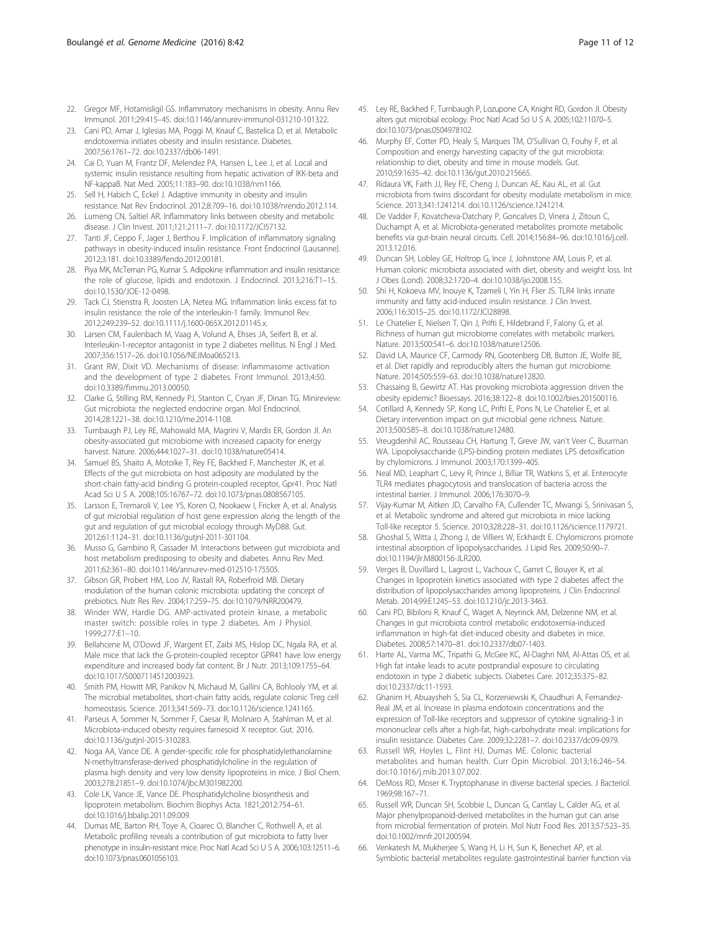- <span id="page-10-0"></span>22. Gregor MF, Hotamisligil GS. Inflammatory mechanisms in obesity. Annu Rev Immunol. 2011;29:415–45. doi:[10.1146/annurev-immunol-031210-101322](http://dx.doi.org/10.1146/annurev-immunol-031210-101322).
- 23. Cani PD, Amar J, Iglesias MA, Poggi M, Knauf C, Bastelica D, et al. Metabolic endotoxemia initiates obesity and insulin resistance. Diabetes. 2007;56:1761–72. doi[:10.2337/db06-1491.](http://dx.doi.org/10.2337/db06-1491)
- 24. Cai D, Yuan M, Frantz DF, Melendez PA, Hansen L, Lee J, et al. Local and systemic insulin resistance resulting from hepatic activation of IKK-beta and NF-kappaB. Nat Med. 2005;11:183–90. doi:[10.1038/nm1166](http://dx.doi.org/10.1038/nm1166).
- 25. Sell H, Habich C, Eckel J. Adaptive immunity in obesity and insulin resistance. Nat Rev Endocrinol. 2012;8:709–16. doi:[10.1038/nrendo.2012.114.](http://dx.doi.org/10.1038/nrendo.2012.114)
- 26. Lumeng CN, Saltiel AR. Inflammatory links between obesity and metabolic disease. J Clin Invest. 2011;121:2111–7. doi[:10.1172/JCI57132.](http://dx.doi.org/10.1172/JCI57132)
- 27. Tanti JF, Ceppo F, Jager J, Berthou F. Implication of inflammatory signaling pathways in obesity-induced insulin resistance. Front Endocrinol (Lausanne). 2012;3:181. doi[:10.3389/fendo.2012.00181.](http://dx.doi.org/10.3389/fendo.2012.00181)
- 28. Piya MK, McTernan PG, Kumar S. Adipokine inflammation and insulin resistance: the role of glucose, lipids and endotoxin. J Endocrinol. 2013;216:T1–15. doi[:10.1530/JOE-12-0498](http://dx.doi.org/10.1530/JOE-12-0498).
- 29. Tack CJ, Stienstra R, Joosten LA, Netea MG. Inflammation links excess fat to insulin resistance: the role of the interleukin-1 family. Immunol Rev. 2012;249:239–52. doi[:10.1111/j.1600-065X.2012.01145.x](http://dx.doi.org/10.1111/j.1600-065X.2012.01145.x).
- 30. Larsen CM, Faulenbach M, Vaag A, Volund A, Ehses JA, Seifert B, et al. Interleukin-1-receptor antagonist in type 2 diabetes mellitus. N Engl J Med. 2007;356:1517–26. doi:[10.1056/NEJMoa065213.](http://dx.doi.org/10.1056/NEJMoa065213)
- 31. Grant RW, Dixit VD. Mechanisms of disease: inflammasome activation and the development of type 2 diabetes. Front Immunol. 2013;4:50. doi[:10.3389/fimmu.2013.00050](http://dx.doi.org/10.3389/fimmu.2013.00050).
- 32. Clarke G, Stilling RM, Kennedy PJ, Stanton C, Cryan JF, Dinan TG. Minireview: Gut microbiota: the neglected endocrine organ. Mol Endocrinol. 2014;28:1221–38. doi[:10.1210/me.2014-1108](http://dx.doi.org/10.1210/me.2014-1108).
- 33. Turnbaugh PJ, Ley RE, Mahowald MA, Magrini V, Mardis ER, Gordon JI. An obesity-associated gut microbiome with increased capacity for energy harvest. Nature. 2006;444:1027–31. doi:[10.1038/nature05414](http://dx.doi.org/10.1038/nature05414).
- 34. Samuel BS, Shaito A, Motoike T, Rey FE, Backhed F, Manchester JK, et al. Effects of the gut microbiota on host adiposity are modulated by the short-chain fatty-acid binding G protein-coupled receptor, Gpr41. Proc Natl Acad Sci U S A. 2008;105:16767–72. doi:[10.1073/pnas.0808567105.](http://dx.doi.org/10.1073/pnas.0808567105)
- 35. Larsson E, Tremaroli V, Lee YS, Koren O, Nookaew I, Fricker A, et al. Analysis of gut microbial regulation of host gene expression along the length of the gut and regulation of gut microbial ecology through MyD88. Gut. 2012;61:1124–31. doi[:10.1136/gutjnl-2011-301104](http://dx.doi.org/10.1136/gutjnl-2011-301104).
- 36. Musso G, Gambino R, Cassader M. Interactions between gut microbiota and host metabolism predisposing to obesity and diabetes. Annu Rev Med. 2011;62:361–80. doi:[10.1146/annurev-med-012510-175505](http://dx.doi.org/10.1146/annurev-med-012510-175505).
- 37. Gibson GR, Probert HM, Loo JV, Rastall RA, Roberfroid MB. Dietary modulation of the human colonic microbiota: updating the concept of prebiotics. Nutr Res Rev. 2004;17:259–75. doi:[10.1079/NRR200479.](http://dx.doi.org/10.1079/NRR200479)
- 38. Winder WW, Hardie DG. AMP-activated protein kinase, a metabolic master switch: possible roles in type 2 diabetes. Am J Physiol. 1999;277:E1–10.
- 39. Bellahcene M, O'Dowd JF, Wargent ET, Zaibi MS, Hislop DC, Ngala RA, et al. Male mice that lack the G-protein-coupled receptor GPR41 have low energy expenditure and increased body fat content. Br J Nutr. 2013;109:1755–64. doi[:10.1017/S0007114512003923.](http://dx.doi.org/10.1017/S0007114512003923)
- 40. Smith PM, Howitt MR, Panikov N, Michaud M, Gallini CA, Bohlooly YM, et al. The microbial metabolites, short-chain fatty acids, regulate colonic Treg cell homeostasis. Science. 2013;341:569–73. doi:[10.1126/science.1241165.](http://dx.doi.org/10.1126/science.1241165)
- 41. Parseus A, Sommer N, Sommer F, Caesar R, Molinaro A, Stahlman M, et al. Microbiota-induced obesity requires farnesoid X receptor. Gut. 2016. doi[:10.1136/gutjnl-2015-310283.](http://dx.doi.org/10.1136/gutjnl-2015-310283)
- 42. Noga AA, Vance DE. A gender-specific role for phosphatidylethanolamine N-methyltransferase-derived phosphatidylcholine in the regulation of plasma high density and very low density lipoproteins in mice. J Biol Chem. 2003;278:21851–9. doi:[10.1074/jbc.M301982200.](http://dx.doi.org/10.1074/jbc.M301982200)
- 43. Cole LK, Vance JE, Vance DE. Phosphatidylcholine biosynthesis and lipoprotein metabolism. Biochim Biophys Acta. 1821;2012:754–61. doi[:10.1016/j.bbalip.2011.09.009.](http://dx.doi.org/10.1016/j.bbalip.2011.09.009)
- 44. Dumas ME, Barton RH, Toye A, Cloarec O, Blancher C, Rothwell A, et al. Metabolic profiling reveals a contribution of gut microbiota to fatty liver phenotype in insulin-resistant mice. Proc Natl Acad Sci U S A. 2006;103:12511–6. doi[:10.1073/pnas.0601056103](http://dx.doi.org/10.1073/pnas.0601056103).
- 45. Ley RE, Backhed F, Turnbaugh P, Lozupone CA, Knight RD, Gordon JI. Obesity alters gut microbial ecology. Proc Natl Acad Sci U S A. 2005;102:11070–5. doi:[10.1073/pnas.0504978102](http://dx.doi.org/10.1073/pnas.0504978102).
- 46. Murphy EF, Cotter PD, Healy S, Marques TM, O'Sullivan O, Fouhy F, et al. Composition and energy harvesting capacity of the gut microbiota: relationship to diet, obesity and time in mouse models. Gut. 2010;59:1635–42. doi[:10.1136/gut.2010.215665.](http://dx.doi.org/10.1136/gut.2010.215665)
- 47. Ridaura VK, Faith JJ, Rey FE, Cheng J, Duncan AE, Kau AL, et al. Gut microbiota from twins discordant for obesity modulate metabolism in mice. Science. 2013;341:1241214. doi[:10.1126/science.1241214.](http://dx.doi.org/10.1126/science.1241214)
- 48. De Vadder F, Kovatcheva-Datchary P, Goncalves D, Vinera J, Zitoun C, Duchampt A, et al. Microbiota-generated metabolites promote metabolic benefits via gut-brain neural circuits. Cell. 2014;156:84–96. doi[:10.1016/j.cell.](http://dx.doi.org/10.1016/j.cell.2013.12.016) [2013.12.016.](http://dx.doi.org/10.1016/j.cell.2013.12.016)
- 49. Duncan SH, Lobley GE, Holtrop G, Ince J, Johnstone AM, Louis P, et al. Human colonic microbiota associated with diet, obesity and weight loss. Int J Obes (Lond). 2008;32:1720–4. doi:[10.1038/ijo.2008.155.](http://dx.doi.org/10.1038/ijo.2008.155)
- 50. Shi H, Kokoeva MV, Inouye K, Tzameli I, Yin H, Flier JS. TLR4 links innate immunity and fatty acid-induced insulin resistance. J Clin Invest. 2006;116:3015–25. doi:[10.1172/JCI28898.](http://dx.doi.org/10.1172/JCI28898)
- 51. Le Chatelier E, Nielsen T, Qin J, Prifti E, Hildebrand F, Falony G, et al. Richness of human gut microbiome correlates with metabolic markers. Nature. 2013;500:541–6. doi[:10.1038/nature12506.](http://dx.doi.org/10.1038/nature12506)
- 52. David LA, Maurice CF, Carmody RN, Gootenberg DB, Button JE, Wolfe BE, et al. Diet rapidly and reproducibly alters the human gut microbiome. Nature. 2014;505:559–63. doi:[10.1038/nature12820](http://dx.doi.org/10.1038/nature12820).
- 53. Chassaing B, Gewirtz AT. Has provoking microbiota aggression driven the obesity epidemic? Bioessays. 2016;38:122–8. doi:[10.1002/bies.201500116](http://dx.doi.org/10.1002/bies.201500116).
- Cotillard A, Kennedy SP, Kong LC, Prifti E, Pons N, Le Chatelier E, et al. Dietary intervention impact on gut microbial gene richness. Nature. 2013;500:585–8. doi:[10.1038/nature12480](http://dx.doi.org/10.1038/nature12480).
- 55. Vreugdenhil AC, Rousseau CH, Hartung T, Greve JW, van't Veer C, Buurman WA. Lipopolysaccharide (LPS)-binding protein mediates LPS detoxification by chylomicrons. J Immunol. 2003;170:1399–405.
- 56. Neal MD, Leaphart C, Levy R, Prince J, Billiar TR, Watkins S, et al. Enterocyte TLR4 mediates phagocytosis and translocation of bacteria across the intestinal barrier. J Immunol. 2006;176:3070–9.
- 57. Vijay-Kumar M, Aitken JD, Carvalho FA, Cullender TC, Mwangi S, Srinivasan S, et al. Metabolic syndrome and altered gut microbiota in mice lacking Toll-like receptor 5. Science. 2010;328:228–31. doi[:10.1126/science.1179721.](http://dx.doi.org/10.1126/science.1179721)
- 58. Ghoshal S, Witta J, Zhong J, de Villiers W, Eckhardt E. Chylomicrons promote intestinal absorption of lipopolysaccharides. J Lipid Res. 2009;50:90–7. doi[:10.1194/jlr.M800156-JLR200.](http://dx.doi.org/10.1194/jlr.M800156-JLR200)
- 59. Verges B, Duvillard L, Lagrost L, Vachoux C, Garret C, Bouyer K, et al. Changes in lipoprotein kinetics associated with type 2 diabetes affect the distribution of lipopolysaccharides among lipoproteins. J Clin Endocrinol Metab. 2014;99:E1245–53. doi:[10.1210/jc.2013-3463](http://dx.doi.org/10.1210/jc.2013-3463).
- 60. Cani PD, Bibiloni R, Knauf C, Waget A, Neyrinck AM, Delzenne NM, et al. Changes in gut microbiota control metabolic endotoxemia-induced inflammation in high-fat diet-induced obesity and diabetes in mice. Diabetes. 2008;57:1470–81. doi[:10.2337/db07-1403.](http://dx.doi.org/10.2337/db07-1403)
- 61. Harte AL, Varma MC, Tripathi G, McGee KC, Al-Daghri NM, Al-Attas OS, et al. High fat intake leads to acute postprandial exposure to circulating endotoxin in type 2 diabetic subjects. Diabetes Care. 2012;35:375–82. doi[:10.2337/dc11-1593.](http://dx.doi.org/10.2337/dc11-1593)
- 62. Ghanim H, Abuaysheh S, Sia CL, Korzeniewski K, Chaudhuri A, Fernandez-Real JM, et al. Increase in plasma endotoxin concentrations and the expression of Toll-like receptors and suppressor of cytokine signaling-3 in mononuclear cells after a high-fat, high-carbohydrate meal: implications for insulin resistance. Diabetes Care. 2009;32:2281–7. doi[:10.2337/dc09-0979.](http://dx.doi.org/10.2337/dc09-0979)
- 63. Russell WR, Hoyles L, Flint HJ, Dumas ME. Colonic bacterial metabolites and human health. Curr Opin Microbiol. 2013;16:246–54. doi:[10.1016/j.mib.2013.07.002.](http://dx.doi.org/10.1016/j.mib.2013.07.002)
- 64. DeMoss RD, Moser K. Tryptophanase in diverse bacterial species. J Bacteriol. 1969;98:167–71.
- 65. Russell WR, Duncan SH, Scobbie L, Duncan G, Cantlay L, Calder AG, et al. Major phenylpropanoid-derived metabolites in the human gut can arise from microbial fermentation of protein. Mol Nutr Food Res. 2013;57:523–35. doi[:10.1002/mnfr.201200594.](http://dx.doi.org/10.1002/mnfr.201200594)
- 66. Venkatesh M, Mukherjee S, Wang H, Li H, Sun K, Benechet AP, et al. Symbiotic bacterial metabolites regulate gastrointestinal barrier function via